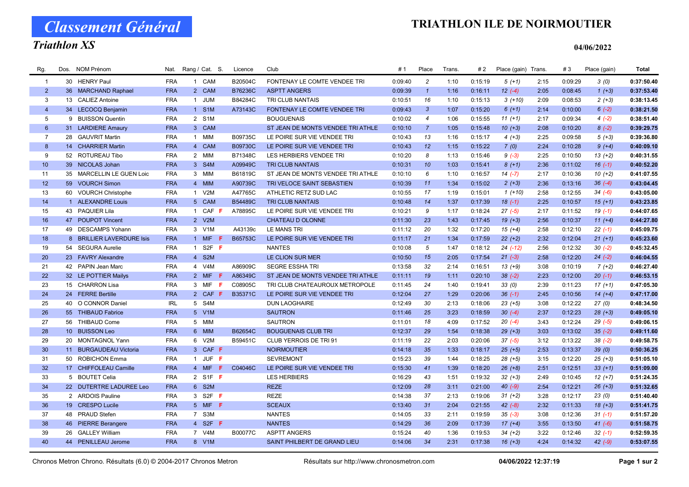## TRIATHLON ILE DE NOIRMOUTIER

Classement Général

## Triathlon XS

#### 04/06/2022

| Rg.             | Dos. | <b>NOM Prénom</b>         | Nat.       | Rang / Cat. S.      | Licence        | Club                              | #1      | Place          | <b>Trans</b> | # 2     | Place (gain) Trans. |      | #3      | Place (gain) | Total      |
|-----------------|------|---------------------------|------------|---------------------|----------------|-----------------------------------|---------|----------------|--------------|---------|---------------------|------|---------|--------------|------------|
| $\overline{1}$  |      | 30 HENRY Paul             | <b>FRA</b> | 1 CAM               | B20504C        | FONTENAY LE COMTE VENDEE TRI      | 0:09:40 | $\overline{c}$ | 1:10         | 0:15:19 | $5(+1)$             | 2:15 | 0:09:29 | 3(0)         | 0:37:50.40 |
| $\overline{2}$  |      | 36 MARCHAND Raphael       | <b>FRA</b> | 2 CAM               | B76236C        | <b>ASPTT ANGERS</b>               | 0:09:39 | $\mathbf{1}$   | 1:16         | 0:16:11 | $12(-4)$            | 2:05 | 0:08:45 | $1 (+3)$     | 0:37:53.40 |
| 3               |      | 13 CALIEZ Antoine         | <b>FRA</b> | JUM<br>$\mathbf{1}$ | B84284C        | TRI CLUB NANTAIS                  | 0:10:51 | 16             | 1:10         | 0:15:13 | $3(+10)$            | 2:09 | 0:08:53 | $2(+3)$      | 0:38:13.45 |
| $\overline{4}$  |      | 34 LECOCQ Benjamin        | <b>FRA</b> | 1 S1M               | A73143C        | FONTENAY LE COMTE VENDEE TRI      | 0:09:43 | $\mathbf{3}$   | 1:07         | 0:15:20 | $6(+1)$             | 2:14 | 0:10:00 | $6(-2)$      | 0:38:21.50 |
| 5               |      | 9 BUISSON Quentin         | <b>FRA</b> | 2 S1M               |                | <b>BOUGUENAIS</b>                 | 0:10:02 | $\overline{4}$ | 1:06         | 0:15:55 | $11 (+1)$           | 2:17 | 0:09:34 | $4(-2)$      | 0:38:51.40 |
| $6\phantom{1}$  |      | 31 LARDIERE Amaury        | <b>FRA</b> | 3 CAM               |                | ST JEAN DE MONTS VENDEE TRI ATHLE | 0:10:10 | $\overline{7}$ | 1:05         | 0:15:48 | $10(+3)$            | 2:08 | 0:10:20 | $8(-2)$      | 0:39:29.75 |
| $\overline{7}$  | 28   | <b>GAUVRIT Martin</b>     | <b>FRA</b> | 1 MIM               | B09735C        | LE POIRE SUR VIE VENDEE TRI       | 0:10:43 | 13             | 1:16         | 0:15:17 | $4(+3)$             | 2:25 | 0:09:58 | $5(+3)$      | 0:39:36.80 |
| 8               |      | 14 CHARRIER Martin        | <b>FRA</b> | 4 CAM               | <b>B09730C</b> | LE POIRE SUR VIE VENDEE TRI       | 0:10:43 | 12             | 1:15         | 0:15:22 | 7(0)                | 2:24 | 0:10:28 | $9 (+4)$     | 0:40:09.10 |
| 9               |      | 52 ROTUREAU Tibo          | <b>FRA</b> | 2 MIM               | B71348C        | LES HERBIERS VENDEE TRI           | 0:10:20 | 8              | 1:13         | 0:15:46 | $9(-3)$             | 2:25 | 0:10:50 | $13(+2)$     | 0:40:31.55 |
| 10 <sup>°</sup> |      | 39 NICOLAS Johan          | <b>FRA</b> | 3 S4M               | A09949C        | <b>TRI CLUB NANTAIS</b>           | 0:10:31 | 10             | 1:03         | 0:15:41 | $8(+1)$             | 2:36 | 0:11:02 | $16(-1)$     | 0:40:52.20 |
| 11              |      | 35 MARCELLIN LE GUEN Loic | <b>FRA</b> | 3 MIM               | B61819C        | ST JEAN DE MONTS VENDEE TRI ATHLE | 0:10:10 | 6              | 1:10         | 0:16:57 | $14(-7)$            | 2:17 | 0:10:36 | $10 (+2)$    | 0:41:07.55 |
| 12              |      | 59 VOURCH Simon           | <b>FRA</b> | 4 MIM               | A90739C        | TRI VELOCE SAINT SEBASTIEN        | 0:10:39 | 11             | 1:34         | 0:15:02 | $2 (+3)$            | 2:36 | 0:13:16 | $36(-4)$     | 0:43:04.45 |
| 13              |      | 60 VOURCH Christophe      | <b>FRA</b> | V2M<br>$\mathbf{1}$ | A47765C        | ATHLETIC RETZ SUD LAC             | 0:10:55 | 17             | 1:19         | 0:15:01 | $1(+10)$            | 2:58 | 0:12:55 | $34 (-6)$    | 0:43:05.00 |
| 14              |      | 1 ALEXANDRE Louis         | <b>FRA</b> | 5 CAM               | B54489C        | <b>TRI CLUB NANTAIS</b>           | 0:10:48 | 14             | 1:37         | 0:17:39 | $18(-1)$            | 2:25 | 0:10:57 | $15(+1)$     | 0:43:23.85 |
| 15              |      | 43 PAQUIER Lila           | <b>FRA</b> | 1 CAF F             | A78895C        | LE POIRE SUR VIE VENDEE TRI       | 0:10:21 | 9              | 1:17         | 0:18:24 | $27(-5)$            | 2:17 | 0:11:52 | $19( -1)$    | 0:44:07.65 |
| 16              |      | 47 POUPOT Vincent         | <b>FRA</b> | 2 V2M               |                | CHATEAU D OLONNE                  | 0:11:30 | 23             | 1:43         | 0:17:45 | $19(+3)$            | 2:56 | 0:10:37 | $11 (+4)$    | 0:44:27.80 |
| 17              |      | 49 DESCAMPS Yohann        | <b>FRA</b> | 3 V1M               | A43139c        | LE MANS TRI                       | 0:11:12 | 20             | 1:32         | 0:17:20 | $15 (+4)$           | 2:58 | 0:12:10 | $22(-1)$     | 0:45:09.75 |
| 18              |      | 8 BRILLIER LAVERDURE Isis | <b>FRA</b> | 1 MIF               | B65753C        | LE POIRE SUR VIE VENDEE TRI       | 0:11:17 | 21             | 1:34         | 0:17:59 | $22 (+2)$           | 2:32 | 0:12:04 | $21 (+1)$    | 0:45:23.60 |
| 19              |      | 54 SEGURA Aurelie         | <b>FRA</b> | 1 S2F $F$           |                | <b>NANTES</b>                     | 0:10:08 | 5              | 1:47         | 0:18:12 | 24 (-12)            | 2:56 | 0:12:32 | $30(-2)$     | 0:45:32.45 |
| 20              |      | 23 FAVRY Alexandre        | <b>FRA</b> | 4 S2M               |                | LE CLION SUR MER                  | 0:10:50 | 15             | 2:05         | 0:17:54 | $21 (-3)$           | 2:58 | 0:12:20 | $24 (-2)$    | 0:46:04.55 |
| 21              |      | 42 PAPIN Jean Marc        | <b>FRA</b> | 4 V4M               | A86909C        | <b>SEGRE ESSHA TRI</b>            | 0:13:58 | 32             | 2:14         | 0:16:51 | $13(+9)$            | 3:08 | 0:10:19 | $7(+2)$      | 0:46:27.40 |
| 22              |      | 32 LE POTTIER Mailys      | <b>FRA</b> | 2 MIF<br>-F.        | A86349C        | ST JEAN DE MONTS VENDEE TRI ATHLE | 0:11:11 | 19             | 1:11         | 0:20:10 | $38(-2)$            | 2:23 | 0:12:00 | $20(-1)$     | 0:46:53.15 |
| 23              |      | 15 CHARRON Lisa           | <b>FRA</b> | 3 MIF<br>-F         | C08905C        | TRI CLUB CHATEAUROUX METROPOLE    | 0:11:45 | 24             | 1:40         | 0:19:41 | 33(0)               | 2:39 | 0:11:23 | $17 (+1)$    | 0:47:05.30 |
| 24              |      | 24 FERRE Bertille         | <b>FRA</b> | 2 CAF F             | B35371C        | LE POIRE SUR VIE VENDEE TRI       | 0:12:04 | 27             | 1:29         | 0:20:06 | $36(-1)$            | 2:45 | 0:10:56 | $14 (+4)$    | 0:47:17.00 |
| 25              |      | 40 O CONNOR Daniel        | <b>IRL</b> | 5 S4M               |                | <b>DUN LAOGHAIRE</b>              | 0:12:49 | 30             | 2:13         | 0:18:06 | $23 (+5)$           | 3:08 | 0:12:22 | 27(0)        | 0:48:34.50 |
| 26              |      | 55 THIBAUD Fabrice        | <b>FRA</b> | 5 V1M               |                | <b>SAUTRON</b>                    | 0:11:46 | 25             | 3:23         | 0:18:59 | $30(-4)$            | 2:37 | 0:12:23 | $28 (+3)$    | 0:49:05.10 |
| 27              |      | 56 THIBAUD Come           | <b>FRA</b> | 5 MIM               |                | <b>SAUTRON</b>                    | 0:11:01 | 18             | 4:09         | 0:17:52 | $20( -4)$           | 3:43 | 0:12:24 | $29(-5)$     | 0:49:06.15 |
| 28              |      | 10 BUISSON Leo            | <b>FRA</b> | 6 MIM               | B62654C        | <b>BOUGUENAIS CLUB TRI</b>        | 0:12:37 | 29             | 1:54         | 0:18:38 | $29 (+3)$           | 3:03 | 0:13:02 | $35(-2)$     | 0:49:11.60 |
| 29              |      | 20 MONTAGNOL Yann         | <b>FRA</b> | 6 V2M               | B59451C        | CLUB YERROIS DE TRI 91            | 0:11:19 | 22             | 2:03         | 0:20:06 | $37(-5)$            | 3:12 | 0:13:22 | $38(-2)$     | 0:49:58.75 |
| 30              |      | 11 BURGAUDEAU Victoria    | <b>FRA</b> | 3 CAF F             |                | <b>NOIRMOUTIER</b>                | 0:14:18 | 35             | 1:33         | 0:18:17 | $25 (+5)$           | 2:53 | 0:13:37 | 39(0)        | 0:50:36.25 |
| 31              |      | 50 ROBICHON Emma          | <b>FRA</b> | 1 JUF F             |                | <b>SEVREMONT</b>                  | 0:15:23 | 39             | 1:44         | 0:18:25 | $28 (+5)$           | 3:15 | 0:12:20 | $25 (+3)$    | 0:51:05.10 |
| 32              |      | 17 CHIFFOLEAU Camille     | <b>FRA</b> | 4 MIF<br>-F.        | C04046C        | LE POIRE SUR VIE VENDEE TRI       | 0:15:30 | 41             | 1:39         | 0:18:20 | $26 (+8)$           | 2:51 | 0:12:51 | $33 (+1)$    | 0:51:09.00 |
| 33              |      | 5 BOUTET Celia            | <b>FRA</b> | 2 S1F F             |                | <b>LES HERBIERS</b>               | 0:16:29 | 43             | 1:51         | 0:19:32 | $32 (+3)$           | 2:49 | 0:10:45 | $12 (+7)$    | 0:51:24.35 |
| 34              |      | 22 DUTERTRE LADUREE Leo   | <b>FRA</b> | 6 S2M               |                | <b>REZE</b>                       | 0:12:09 | 28             | 3:11         | 0:21:00 | $40(-9)$            | 2:54 | 0:12:21 | $26 (+3)$    | 0:51:32.65 |
| 35              |      | 2 ARDOIS Pauline          | <b>FRA</b> | 3 S2F <b>F</b>      |                | <b>REZE</b>                       | 0:14:38 | 37             | 2:13         | 0:19:06 | $31 (+2)$           | 3:28 | 0:12:17 | 23(0)        | 0:51:40.40 |
| 36              |      | 19 CRESPO Lucile          | <b>FRA</b> | 5 MIF F             |                | <b>SCEAUX</b>                     | 0:13:40 | 31             | 2:04         | 0:21:55 | $42(-8)$            | 2:32 | 0:11:33 | $18 (+3)$    | 0:51:41.75 |
| 37              |      | 48 PRAUD Stefen           | <b>FRA</b> | 7 S3M               |                | <b>NANTES</b>                     | 0:14:05 | 33             | 2:11         | 0:19:59 | $35(-3)$            | 3:08 | 0:12:36 | $31 (-1)$    | 0:51:57.20 |
| 38              |      | 46 PIERRE Berangere       | <b>FRA</b> | 4 S2F F             |                | <b>NANTES</b>                     | 0:14:29 | 36             | 2:09         | 0:17:39 | $17(+4)$            | 3:55 | 0:13:50 | 41 $(-6)$    | 0:51:58.75 |
| 39              |      | 26 GALLEY William         | <b>FRA</b> | 7 V4M               | B00077C        | <b>ASPTT ANGERS</b>               | 0:15:24 | 40             | 1:36         | 0:19:53 | $34 (+2)$           | 3:22 | 0:12:46 | $32(-1)$     | 0:52:59.35 |
| 40              |      | 44 PENILLEAU Jerome       | <b>FRA</b> | 8 V1M               |                | SAINT PHILBERT DE GRAND LIEU      | 0:14:06 | 34             | 2:31         | 0:17:38 | $16 (+3)$           | 4:24 | 0:14:32 | $42 (-9)$    | 0:53:07.55 |
|                 |      |                           |            |                     |                |                                   |         |                |              |         |                     |      |         |              |            |

Chronos Metron Chrono. Résultats (6.0) © 2004-2017 Chronos Metron Résultats sur http://www.chronosmetron.com 04/06/2022 12:37:19 Page 1 sur 2